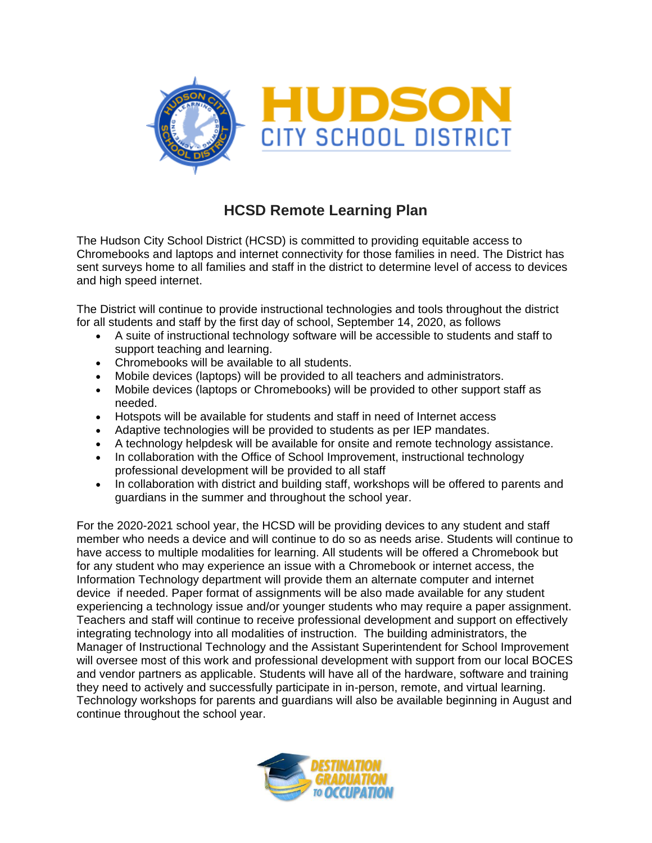

## **HCSD Remote Learning Plan**

The Hudson City School District (HCSD) is committed to providing equitable access to Chromebooks and laptops and internet connectivity for those families in need. The District has sent surveys home to all families and staff in the district to determine level of access to devices and high speed internet.

The District will continue to provide instructional technologies and tools throughout the district for all students and staff by the first day of school, September 14, 2020, as follows

- A suite of instructional technology software will be accessible to students and staff to support teaching and learning.
- Chromebooks will be available to all students.
- Mobile devices (laptops) will be provided to all teachers and administrators.
- Mobile devices (laptops or Chromebooks) will be provided to other support staff as needed.
- Hotspots will be available for students and staff in need of Internet access
- Adaptive technologies will be provided to students as per IEP mandates.
- A technology helpdesk will be available for onsite and remote technology assistance.
- In collaboration with the Office of School Improvement, instructional technology professional development will be provided to all staff
- In collaboration with district and building staff, workshops will be offered to parents and guardians in the summer and throughout the school year.

For the 2020-2021 school year, the HCSD will be providing devices to any student and staff member who needs a device and will continue to do so as needs arise. Students will continue to have access to multiple modalities for learning. All students will be offered a Chromebook but for any student who may experience an issue with a Chromebook or internet access, the Information Technology department will provide them an alternate computer and internet device if needed. Paper format of assignments will be also made available for any student experiencing a technology issue and/or younger students who may require a paper assignment. Teachers and staff will continue to receive professional development and support on effectively integrating technology into all modalities of instruction. The building administrators, the Manager of Instructional Technology and the Assistant Superintendent for School Improvement will oversee most of this work and professional development with support from our local BOCES and vendor partners as applicable. Students will have all of the hardware, software and training they need to actively and successfully participate in in-person, remote, and virtual learning. Technology workshops for parents and guardians will also be available beginning in August and continue throughout the school year.